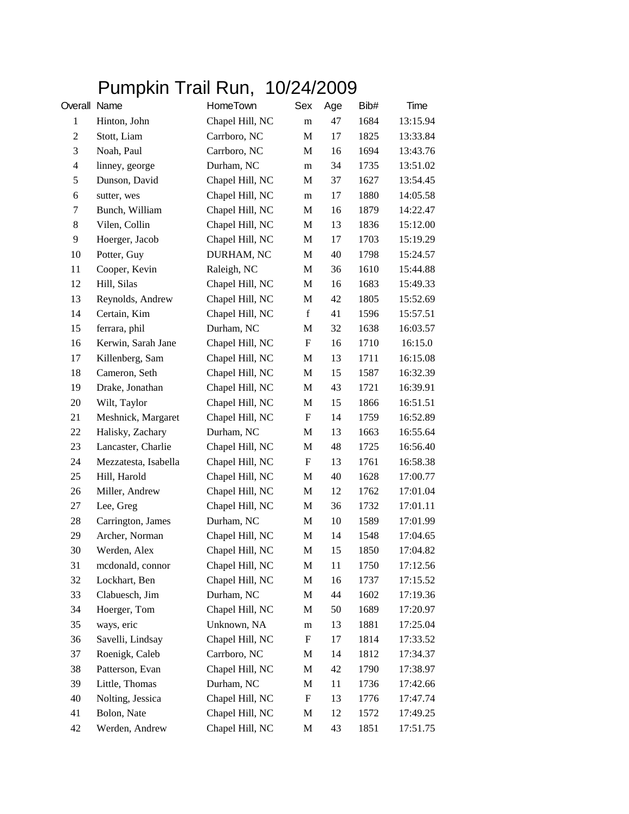## Pumpkin Trail Run, 10/24/2009

| Overall Name   |                      | HomeTown        | Sex                       | Age | Bib# | Time     |
|----------------|----------------------|-----------------|---------------------------|-----|------|----------|
| $\mathbf{1}$   | Hinton, John         | Chapel Hill, NC | m                         | 47  | 1684 | 13:15.94 |
| $\overline{c}$ | Stott, Liam          | Carrboro, NC    | M                         | 17  | 1825 | 13:33.84 |
| 3              | Noah, Paul           | Carrboro, NC    | M                         | 16  | 1694 | 13:43.76 |
| $\overline{4}$ | linney, george       | Durham, NC      | m                         | 34  | 1735 | 13:51.02 |
| 5              | Dunson, David        | Chapel Hill, NC | M                         | 37  | 1627 | 13:54.45 |
| 6              | sutter, wes          | Chapel Hill, NC | m                         | 17  | 1880 | 14:05.58 |
| 7              | Bunch, William       | Chapel Hill, NC | M                         | 16  | 1879 | 14:22.47 |
| $\,8\,$        | Vilen, Collin        | Chapel Hill, NC | M                         | 13  | 1836 | 15:12.00 |
| 9              | Hoerger, Jacob       | Chapel Hill, NC | M                         | 17  | 1703 | 15:19.29 |
| 10             | Potter, Guy          | DURHAM, NC      | M                         | 40  | 1798 | 15:24.57 |
| 11             | Cooper, Kevin        | Raleigh, NC     | M                         | 36  | 1610 | 15:44.88 |
| 12             | Hill, Silas          | Chapel Hill, NC | M                         | 16  | 1683 | 15:49.33 |
| 13             | Reynolds, Andrew     | Chapel Hill, NC | M                         | 42  | 1805 | 15:52.69 |
| 14             | Certain, Kim         | Chapel Hill, NC | f                         | 41  | 1596 | 15:57.51 |
| 15             | ferrara, phil        | Durham, NC      | M                         | 32  | 1638 | 16:03.57 |
| 16             | Kerwin, Sarah Jane   | Chapel Hill, NC | $\boldsymbol{\mathrm{F}}$ | 16  | 1710 | 16:15.0  |
| 17             | Killenberg, Sam      | Chapel Hill, NC | M                         | 13  | 1711 | 16:15.08 |
| 18             | Cameron, Seth        | Chapel Hill, NC | M                         | 15  | 1587 | 16:32.39 |
| 19             | Drake, Jonathan      | Chapel Hill, NC | M                         | 43  | 1721 | 16:39.91 |
| 20             | Wilt, Taylor         | Chapel Hill, NC | M                         | 15  | 1866 | 16:51.51 |
| 21             | Meshnick, Margaret   | Chapel Hill, NC | $\mathbf F$               | 14  | 1759 | 16:52.89 |
| 22             | Halisky, Zachary     | Durham, NC      | M                         | 13  | 1663 | 16:55.64 |
| 23             | Lancaster, Charlie   | Chapel Hill, NC | M                         | 48  | 1725 | 16:56.40 |
| 24             | Mezzatesta, Isabella | Chapel Hill, NC | F                         | 13  | 1761 | 16:58.38 |
| 25             | Hill, Harold         | Chapel Hill, NC | M                         | 40  | 1628 | 17:00.77 |
| 26             | Miller, Andrew       | Chapel Hill, NC | M                         | 12  | 1762 | 17:01.04 |
| 27             | Lee, Greg            | Chapel Hill, NC | M                         | 36  | 1732 | 17:01.11 |
| 28             | Carrington, James    | Durham, NC      | M                         | 10  | 1589 | 17:01.99 |
| 29             | Archer, Norman       | Chapel Hill, NC | M                         | 14  | 1548 | 17:04.65 |
| 30             | Werden, Alex         | Chapel Hill, NC | M                         | 15  | 1850 | 17:04.82 |
| 31             | mcdonald, connor     | Chapel Hill, NC | $\mathbf M$               | 11  | 1750 | 17:12.56 |
| 32             | Lockhart, Ben        | Chapel Hill, NC | M                         | 16  | 1737 | 17:15.52 |
| 33             | Clabuesch, Jim       | Durham, NC      | M                         | 44  | 1602 | 17:19.36 |
| 34             | Hoerger, Tom         | Chapel Hill, NC | M                         | 50  | 1689 | 17:20.97 |
| 35             | ways, eric           | Unknown, NA     | m                         | 13  | 1881 | 17:25.04 |
| 36             | Savelli, Lindsay     | Chapel Hill, NC | $\boldsymbol{\mathrm{F}}$ | 17  | 1814 | 17:33.52 |
| 37             | Roenigk, Caleb       | Carrboro, NC    | M                         | 14  | 1812 | 17:34.37 |
| 38             | Patterson, Evan      | Chapel Hill, NC | M                         | 42  | 1790 | 17:38.97 |
| 39             | Little, Thomas       | Durham, NC      | M                         | 11  | 1736 | 17:42.66 |
| 40             | Nolting, Jessica     | Chapel Hill, NC | $\boldsymbol{\mathrm{F}}$ | 13  | 1776 | 17:47.74 |
| 41             | Bolon, Nate          | Chapel Hill, NC | M                         | 12  | 1572 | 17:49.25 |
| 42             | Werden, Andrew       | Chapel Hill, NC | M                         | 43  | 1851 | 17:51.75 |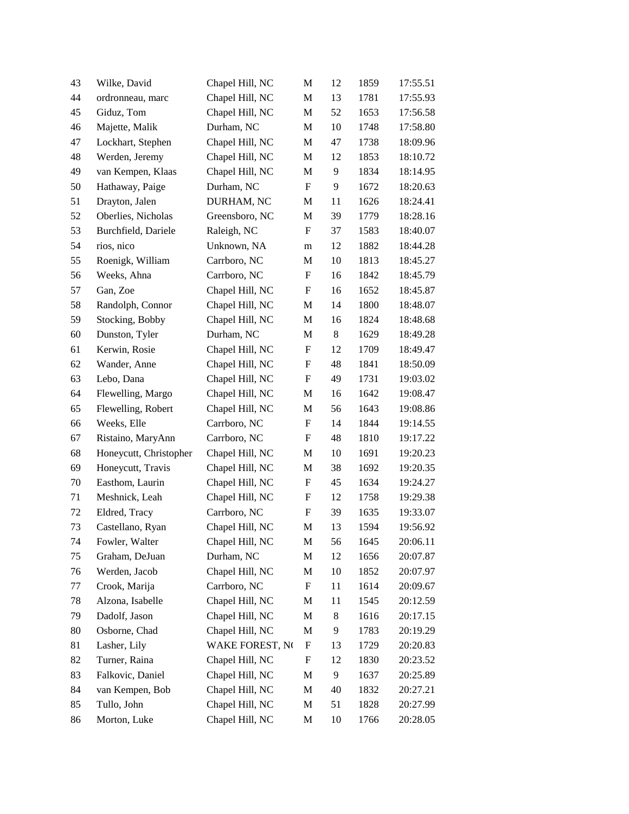| 43 | Wilke, David           | Chapel Hill, NC | M                         | 12    | 1859 | 17:55.51 |
|----|------------------------|-----------------|---------------------------|-------|------|----------|
| 44 | ordronneau, marc       | Chapel Hill, NC | M                         | 13    | 1781 | 17:55.93 |
| 45 | Giduz, Tom             | Chapel Hill, NC | M                         | 52    | 1653 | 17:56.58 |
| 46 | Majette, Malik         | Durham, NC      | M                         | 10    | 1748 | 17:58.80 |
| 47 | Lockhart, Stephen      | Chapel Hill, NC | M                         | 47    | 1738 | 18:09.96 |
| 48 | Werden, Jeremy         | Chapel Hill, NC | M                         | 12    | 1853 | 18:10.72 |
| 49 | van Kempen, Klaas      | Chapel Hill, NC | M                         | 9     | 1834 | 18:14.95 |
| 50 | Hathaway, Paige        | Durham, NC      | ${\bf F}$                 | 9     | 1672 | 18:20.63 |
| 51 | Drayton, Jalen         | DURHAM, NC      | M                         | 11    | 1626 | 18:24.41 |
| 52 | Oberlies, Nicholas     | Greensboro, NC  | M                         | 39    | 1779 | 18:28.16 |
| 53 | Burchfield, Dariele    | Raleigh, NC     | F                         | 37    | 1583 | 18:40.07 |
| 54 | rios, nico             | Unknown, NA     | m                         | 12    | 1882 | 18:44.28 |
| 55 | Roenigk, William       | Carrboro, NC    | M                         | 10    | 1813 | 18:45.27 |
| 56 | Weeks, Ahna            | Carrboro, NC    | F                         | 16    | 1842 | 18:45.79 |
| 57 | Gan, Zoe               | Chapel Hill, NC | F                         | 16    | 1652 | 18:45.87 |
| 58 | Randolph, Connor       | Chapel Hill, NC | M                         | 14    | 1800 | 18:48.07 |
| 59 | Stocking, Bobby        | Chapel Hill, NC | M                         | 16    | 1824 | 18:48.68 |
| 60 | Dunston, Tyler         | Durham, NC      | M                         | $\,8$ | 1629 | 18:49.28 |
| 61 | Kerwin, Rosie          | Chapel Hill, NC | $\boldsymbol{F}$          | 12    | 1709 | 18:49.47 |
| 62 | Wander, Anne           | Chapel Hill, NC | $\boldsymbol{\mathrm{F}}$ | 48    | 1841 | 18:50.09 |
| 63 | Lebo, Dana             | Chapel Hill, NC | F                         | 49    | 1731 | 19:03.02 |
| 64 | Flewelling, Margo      | Chapel Hill, NC | M                         | 16    | 1642 | 19:08.47 |
| 65 | Flewelling, Robert     | Chapel Hill, NC | M                         | 56    | 1643 | 19:08.86 |
| 66 | Weeks, Elle            | Carrboro, NC    | F                         | 14    | 1844 | 19:14.55 |
| 67 | Ristaino, MaryAnn      | Carrboro, NC    | F                         | 48    | 1810 | 19:17.22 |
| 68 | Honeycutt, Christopher | Chapel Hill, NC | M                         | 10    | 1691 | 19:20.23 |
| 69 | Honeycutt, Travis      | Chapel Hill, NC | M                         | 38    | 1692 | 19:20.35 |
| 70 | Easthom, Laurin        | Chapel Hill, NC | $\boldsymbol{\mathrm{F}}$ | 45    | 1634 | 19:24.27 |
| 71 | Meshnick, Leah         | Chapel Hill, NC | F                         | 12    | 1758 | 19:29.38 |
| 72 | Eldred, Tracy          | Carrboro, NC    | F                         | 39    | 1635 | 19:33.07 |
| 73 | Castellano, Ryan       | Chapel Hill, NC | M                         | 13    | 1594 | 19:56.92 |
| 74 | Fowler, Walter         | Chapel Hill, NC | M                         | 56    | 1645 | 20:06.11 |
| 75 | Graham, DeJuan         | Durham, NC      | M                         | 12    | 1656 | 20:07.87 |
| 76 | Werden, Jacob          | Chapel Hill, NC | M                         | 10    | 1852 | 20:07.97 |
| 77 | Crook, Marija          | Carrboro, NC    | F                         | 11    | 1614 | 20:09.67 |
| 78 | Alzona, Isabelle       | Chapel Hill, NC | M                         | 11    | 1545 | 20:12.59 |
| 79 | Dadolf, Jason          | Chapel Hill, NC | M                         | 8     | 1616 | 20:17.15 |
| 80 | Osborne, Chad          | Chapel Hill, NC | M                         | 9     | 1783 | 20:19.29 |
| 81 | Lasher, Lily           | WAKE FOREST, NO | $\mathbf F$               | 13    | 1729 | 20:20.83 |
| 82 | Turner, Raina          | Chapel Hill, NC | F                         | 12    | 1830 | 20:23.52 |
| 83 | Falkovic, Daniel       | Chapel Hill, NC | M                         | 9     | 1637 | 20:25.89 |
| 84 | van Kempen, Bob        | Chapel Hill, NC | M                         | 40    | 1832 | 20:27.21 |
| 85 | Tullo, John            | Chapel Hill, NC | M                         | 51    | 1828 | 20:27.99 |
| 86 | Morton, Luke           | Chapel Hill, NC | M                         | 10    | 1766 | 20:28.05 |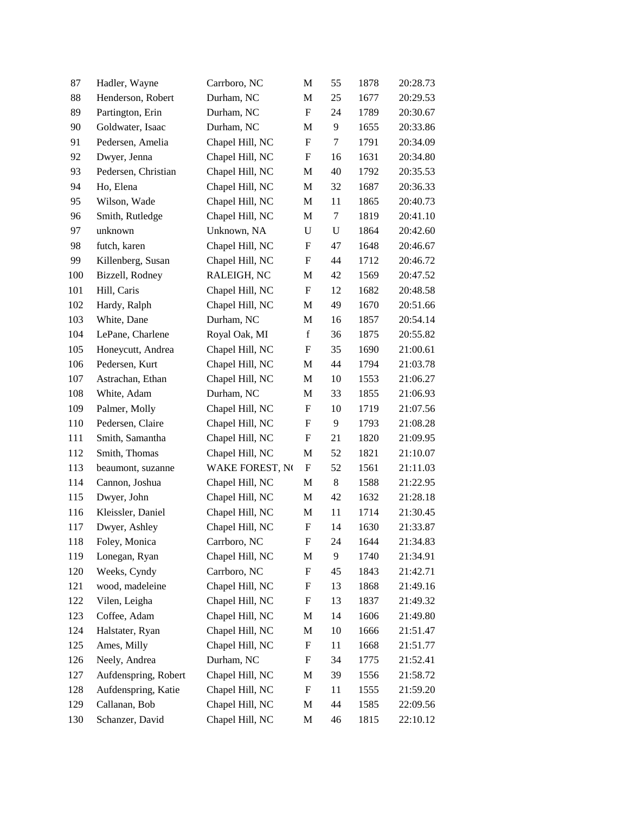| 87  | Hadler, Wayne        | Carrboro, NC    | M                         | 55          | 1878 | 20:28.73 |
|-----|----------------------|-----------------|---------------------------|-------------|------|----------|
| 88  | Henderson, Robert    | Durham, NC      | M                         | 25          | 1677 | 20:29.53 |
| 89  | Partington, Erin     | Durham, NC      | $\boldsymbol{\mathrm{F}}$ | 24          | 1789 | 20:30.67 |
| 90  | Goldwater, Isaac     | Durham, NC      | M                         | 9           | 1655 | 20:33.86 |
| 91  | Pedersen, Amelia     | Chapel Hill, NC | $\boldsymbol{\mathrm{F}}$ | 7           | 1791 | 20:34.09 |
| 92  | Dwyer, Jenna         | Chapel Hill, NC | $\boldsymbol{\mathrm{F}}$ | 16          | 1631 | 20:34.80 |
| 93  | Pedersen, Christian  | Chapel Hill, NC | M                         | 40          | 1792 | 20:35.53 |
| 94  | Ho, Elena            | Chapel Hill, NC | M                         | 32          | 1687 | 20:36.33 |
| 95  | Wilson, Wade         | Chapel Hill, NC | $\mathbf M$               | 11          | 1865 | 20:40.73 |
| 96  | Smith, Rutledge      | Chapel Hill, NC | M                         | $\tau$      | 1819 | 20:41.10 |
| 97  | unknown              | Unknown, NA     | U                         | $\mathbf U$ | 1864 | 20:42.60 |
| 98  | futch, karen         | Chapel Hill, NC | ${\bf F}$                 | 47          | 1648 | 20:46.67 |
| 99  | Killenberg, Susan    | Chapel Hill, NC | $\mathbf F$               | 44          | 1712 | 20:46.72 |
| 100 | Bizzell, Rodney      | RALEIGH, NC     | M                         | 42          | 1569 | 20:47.52 |
| 101 | Hill, Caris          | Chapel Hill, NC | ${\bf F}$                 | 12          | 1682 | 20:48.58 |
| 102 | Hardy, Ralph         | Chapel Hill, NC | M                         | 49          | 1670 | 20:51.66 |
| 103 | White, Dane          | Durham, NC      | M                         | 16          | 1857 | 20:54.14 |
| 104 | LePane, Charlene     | Royal Oak, MI   | $\mathbf f$               | 36          | 1875 | 20:55.82 |
| 105 | Honeycutt, Andrea    | Chapel Hill, NC | F                         | 35          | 1690 | 21:00.61 |
| 106 | Pedersen, Kurt       | Chapel Hill, NC | M                         | 44          | 1794 | 21:03.78 |
| 107 | Astrachan, Ethan     | Chapel Hill, NC | M                         | 10          | 1553 | 21:06.27 |
| 108 | White, Adam          | Durham, NC      | M                         | 33          | 1855 | 21:06.93 |
| 109 | Palmer, Molly        | Chapel Hill, NC | ${\bf F}$                 | 10          | 1719 | 21:07.56 |
| 110 | Pedersen, Claire     | Chapel Hill, NC | $\boldsymbol{\mathrm{F}}$ | 9           | 1793 | 21:08.28 |
| 111 | Smith, Samantha      | Chapel Hill, NC | F                         | 21          | 1820 | 21:09.95 |
| 112 | Smith, Thomas        | Chapel Hill, NC | M                         | 52          | 1821 | 21:10.07 |
| 113 | beaumont, suzanne    | WAKE FOREST, NO | $\boldsymbol{\mathrm{F}}$ | 52          | 1561 | 21:11.03 |
| 114 | Cannon, Joshua       | Chapel Hill, NC | M                         | $8\,$       | 1588 | 21:22.95 |
| 115 | Dwyer, John          | Chapel Hill, NC | M                         | 42          | 1632 | 21:28.18 |
| 116 | Kleissler, Daniel    | Chapel Hill, NC | M                         | 11          | 1714 | 21:30.45 |
| 117 | Dwyer, Ashley        | Chapel Hill, NC | $\boldsymbol{\mathrm{F}}$ | 14          | 1630 | 21:33.87 |
| 118 | Foley, Monica        | Carrboro, NC    | F                         | 24          | 1644 | 21:34.83 |
| 119 | Lonegan, Ryan        | Chapel Hill, NC | M                         | 9           | 1740 | 21:34.91 |
| 120 | Weeks, Cyndy         | Carrboro, NC    | $\boldsymbol{F}$          | 45          | 1843 | 21:42.71 |
| 121 | wood, madeleine      | Chapel Hill, NC | F                         | 13          | 1868 | 21:49.16 |
| 122 | Vilen, Leigha        | Chapel Hill, NC | $\boldsymbol{F}$          | 13          | 1837 | 21:49.32 |
| 123 | Coffee, Adam         | Chapel Hill, NC | M                         | 14          | 1606 | 21:49.80 |
| 124 | Halstater, Ryan      | Chapel Hill, NC | M                         | 10          | 1666 | 21:51.47 |
| 125 | Ames, Milly          | Chapel Hill, NC | $\boldsymbol{F}$          | 11          | 1668 | 21:51.77 |
| 126 | Neely, Andrea        | Durham, NC      | F                         | 34          | 1775 | 21:52.41 |
| 127 | Aufdenspring, Robert | Chapel Hill, NC | M                         | 39          | 1556 | 21:58.72 |
| 128 | Aufdenspring, Katie  | Chapel Hill, NC | $\boldsymbol{F}$          | 11          | 1555 | 21:59.20 |
| 129 | Callanan, Bob        | Chapel Hill, NC | M                         | 44          | 1585 | 22:09.56 |
| 130 | Schanzer, David      | Chapel Hill, NC | M                         | 46          | 1815 | 22:10.12 |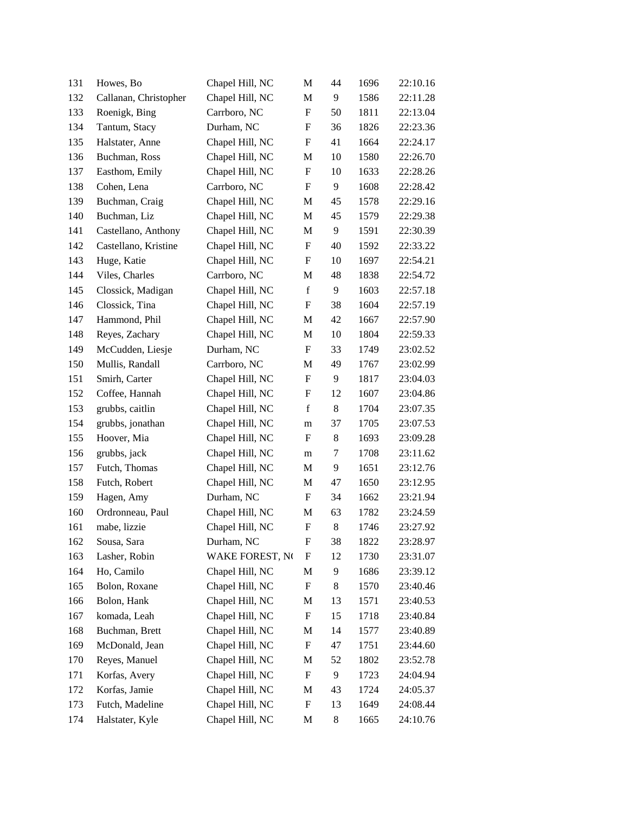| 131 | Howes, Bo             | Chapel Hill, NC | M                         | 44 | 1696 | 22:10.16 |
|-----|-----------------------|-----------------|---------------------------|----|------|----------|
| 132 | Callanan, Christopher | Chapel Hill, NC | M                         | 9  | 1586 | 22:11.28 |
| 133 | Roenigk, Bing         | Carrboro, NC    | $\boldsymbol{\mathrm{F}}$ | 50 | 1811 | 22:13.04 |
| 134 | Tantum, Stacy         | Durham, NC      | F                         | 36 | 1826 | 22:23.36 |
| 135 | Halstater, Anne       | Chapel Hill, NC | F                         | 41 | 1664 | 22:24.17 |
| 136 | Buchman, Ross         | Chapel Hill, NC | M                         | 10 | 1580 | 22:26.70 |
| 137 | Easthom, Emily        | Chapel Hill, NC | F                         | 10 | 1633 | 22:28.26 |
| 138 | Cohen, Lena           | Carrboro, NC    | $\boldsymbol{\mathrm{F}}$ | 9  | 1608 | 22:28.42 |
| 139 | Buchman, Craig        | Chapel Hill, NC | M                         | 45 | 1578 | 22:29.16 |
| 140 | Buchman, Liz          | Chapel Hill, NC | M                         | 45 | 1579 | 22:29.38 |
| 141 | Castellano, Anthony   | Chapel Hill, NC | M                         | 9  | 1591 | 22:30.39 |
| 142 | Castellano, Kristine  | Chapel Hill, NC | F                         | 40 | 1592 | 22:33.22 |
| 143 | Huge, Katie           | Chapel Hill, NC | $\boldsymbol{\mathrm{F}}$ | 10 | 1697 | 22:54.21 |
| 144 | Viles, Charles        | Carrboro, NC    | M                         | 48 | 1838 | 22:54.72 |
| 145 | Clossick, Madigan     | Chapel Hill, NC | $\mathbf f$               | 9  | 1603 | 22:57.18 |
| 146 | Clossick, Tina        | Chapel Hill, NC | ${\bf F}$                 | 38 | 1604 | 22:57.19 |
| 147 | Hammond, Phil         | Chapel Hill, NC | M                         | 42 | 1667 | 22:57.90 |
| 148 | Reyes, Zachary        | Chapel Hill, NC | M                         | 10 | 1804 | 22:59.33 |
| 149 | McCudden, Liesje      | Durham, NC      | F                         | 33 | 1749 | 23:02.52 |
| 150 | Mullis, Randall       | Carrboro, NC    | M                         | 49 | 1767 | 23:02.99 |
| 151 | Smirh, Carter         | Chapel Hill, NC | ${\bf F}$                 | 9  | 1817 | 23:04.03 |
| 152 | Coffee, Hannah        | Chapel Hill, NC | F                         | 12 | 1607 | 23:04.86 |
| 153 | grubbs, caitlin       | Chapel Hill, NC | $\mathbf f$               | 8  | 1704 | 23:07.35 |
| 154 | grubbs, jonathan      | Chapel Hill, NC | m                         | 37 | 1705 | 23:07.53 |
| 155 | Hoover, Mia           | Chapel Hill, NC | F                         | 8  | 1693 | 23:09.28 |
| 156 | grubbs, jack          | Chapel Hill, NC | m                         | 7  | 1708 | 23:11.62 |
| 157 | Futch, Thomas         | Chapel Hill, NC | M                         | 9  | 1651 | 23:12.76 |
| 158 | Futch, Robert         | Chapel Hill, NC | M                         | 47 | 1650 | 23:12.95 |
| 159 | Hagen, Amy            | Durham, NC      | F                         | 34 | 1662 | 23:21.94 |
| 160 | Ordronneau, Paul      | Chapel Hill, NC | M                         | 63 | 1782 | 23:24.59 |
| 161 | mabe, lizzie          | Chapel Hill, NC | ${\bf F}$                 | 8  | 1746 | 23:27.92 |
| 162 | Sousa, Sara           | Durham, NC      | F                         | 38 | 1822 | 23:28.97 |
| 163 | Lasher, Robin         | WAKE FOREST, NO | F                         | 12 | 1730 | 23:31.07 |
| 164 | Ho, Camilo            | Chapel Hill, NC | M                         | 9  | 1686 | 23:39.12 |
| 165 | Bolon, Roxane         | Chapel Hill, NC | F                         | 8  | 1570 | 23:40.46 |
| 166 | Bolon, Hank           | Chapel Hill, NC | M                         | 13 | 1571 | 23:40.53 |
| 167 | komada, Leah          | Chapel Hill, NC | F                         | 15 | 1718 | 23:40.84 |
| 168 | Buchman, Brett        | Chapel Hill, NC | M                         | 14 | 1577 | 23:40.89 |
| 169 | McDonald, Jean        | Chapel Hill, NC | F                         | 47 | 1751 | 23:44.60 |
| 170 | Reyes, Manuel         | Chapel Hill, NC | M                         | 52 | 1802 | 23:52.78 |
| 171 | Korfas, Avery         | Chapel Hill, NC | $\boldsymbol{\mathrm{F}}$ | 9  | 1723 | 24:04.94 |
| 172 | Korfas, Jamie         | Chapel Hill, NC | M                         | 43 | 1724 | 24:05.37 |
| 173 | Futch, Madeline       | Chapel Hill, NC | F                         | 13 | 1649 | 24:08.44 |
| 174 | Halstater, Kyle       | Chapel Hill, NC | M                         | 8  | 1665 | 24:10.76 |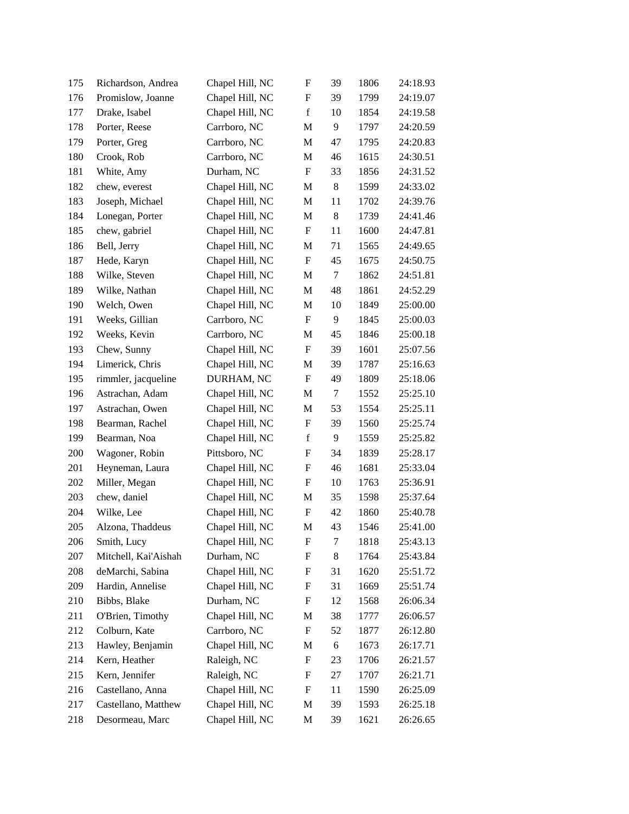| 175 | Richardson, Andrea   | Chapel Hill, NC | $\boldsymbol{\mathrm{F}}$ | 39 | 1806 | 24:18.93 |
|-----|----------------------|-----------------|---------------------------|----|------|----------|
| 176 | Promislow, Joanne    | Chapel Hill, NC | F                         | 39 | 1799 | 24:19.07 |
| 177 | Drake, Isabel        | Chapel Hill, NC | $f_{\rm}$                 | 10 | 1854 | 24:19.58 |
| 178 | Porter, Reese        | Carrboro, NC    | M                         | 9  | 1797 | 24:20.59 |
| 179 | Porter, Greg         | Carrboro, NC    | M                         | 47 | 1795 | 24:20.83 |
| 180 | Crook, Rob           | Carrboro, NC    | M                         | 46 | 1615 | 24:30.51 |
| 181 | White, Amy           | Durham, NC      | F                         | 33 | 1856 | 24:31.52 |
| 182 | chew, everest        | Chapel Hill, NC | M                         | 8  | 1599 | 24:33.02 |
| 183 | Joseph, Michael      | Chapel Hill, NC | M                         | 11 | 1702 | 24:39.76 |
| 184 | Lonegan, Porter      | Chapel Hill, NC | M                         | 8  | 1739 | 24:41.46 |
| 185 | chew, gabriel        | Chapel Hill, NC | $\boldsymbol{\mathrm{F}}$ | 11 | 1600 | 24:47.81 |
| 186 | Bell, Jerry          | Chapel Hill, NC | M                         | 71 | 1565 | 24:49.65 |
| 187 | Hede, Karyn          | Chapel Hill, NC | $\boldsymbol{\mathrm{F}}$ | 45 | 1675 | 24:50.75 |
| 188 | Wilke, Steven        | Chapel Hill, NC | M                         | 7  | 1862 | 24:51.81 |
| 189 | Wilke, Nathan        | Chapel Hill, NC | M                         | 48 | 1861 | 24:52.29 |
| 190 | Welch, Owen          | Chapel Hill, NC | M                         | 10 | 1849 | 25:00.00 |
| 191 | Weeks, Gillian       | Carrboro, NC    | F                         | 9  | 1845 | 25:00.03 |
| 192 | Weeks, Kevin         | Carrboro, NC    | M                         | 45 | 1846 | 25:00.18 |
| 193 | Chew, Sunny          | Chapel Hill, NC | F                         | 39 | 1601 | 25:07.56 |
| 194 | Limerick, Chris      | Chapel Hill, NC | M                         | 39 | 1787 | 25:16.63 |
| 195 | rimmler, jacqueline  | DURHAM, NC      | ${\bf F}$                 | 49 | 1809 | 25:18.06 |
| 196 | Astrachan, Adam      | Chapel Hill, NC | M                         | 7  | 1552 | 25:25.10 |
| 197 | Astrachan, Owen      | Chapel Hill, NC | M                         | 53 | 1554 | 25:25.11 |
| 198 | Bearman, Rachel      | Chapel Hill, NC | ${\rm F}$                 | 39 | 1560 | 25:25.74 |
| 199 | Bearman, Noa         | Chapel Hill, NC | $\mathbf f$               | 9  | 1559 | 25:25.82 |
| 200 | Wagoner, Robin       | Pittsboro, NC   | $\boldsymbol{\mathrm{F}}$ | 34 | 1839 | 25:28.17 |
| 201 | Heyneman, Laura      | Chapel Hill, NC | F                         | 46 | 1681 | 25:33.04 |
| 202 | Miller, Megan        | Chapel Hill, NC | $\boldsymbol{\mathrm{F}}$ | 10 | 1763 | 25:36.91 |
| 203 | chew, daniel         | Chapel Hill, NC | M                         | 35 | 1598 | 25:37.64 |
| 204 | Wilke, Lee           | Chapel Hill, NC | F                         | 42 | 1860 | 25:40.78 |
| 205 | Alzona, Thaddeus     | Chapel Hill, NC | M                         | 43 | 1546 | 25:41.00 |
| 206 | Smith, Lucy          | Chapel Hill, NC | F                         | 7  | 1818 | 25:43.13 |
| 207 | Mitchell, Kai'Aishah | Durham, NC      | F                         | 8  | 1764 | 25:43.84 |
| 208 | deMarchi, Sabina     | Chapel Hill, NC | F                         | 31 | 1620 | 25:51.72 |
| 209 | Hardin, Annelise     | Chapel Hill, NC | F                         | 31 | 1669 | 25:51.74 |
| 210 | Bibbs, Blake         | Durham, NC      | ${\rm F}$                 | 12 | 1568 | 26:06.34 |
| 211 | O'Brien, Timothy     | Chapel Hill, NC | M                         | 38 | 1777 | 26:06.57 |
| 212 | Colburn, Kate        | Carrboro, NC    | F                         | 52 | 1877 | 26:12.80 |
| 213 | Hawley, Benjamin     | Chapel Hill, NC | M                         | 6  | 1673 | 26:17.71 |
| 214 | Kern, Heather        | Raleigh, NC     | $\boldsymbol{\mathrm{F}}$ | 23 | 1706 | 26:21.57 |
| 215 | Kern, Jennifer       | Raleigh, NC     | ${\rm F}$                 | 27 | 1707 | 26:21.71 |
| 216 | Castellano, Anna     | Chapel Hill, NC | ${\rm F}$                 | 11 | 1590 | 26:25.09 |
| 217 | Castellano, Matthew  | Chapel Hill, NC | M                         | 39 | 1593 | 26:25.18 |
| 218 | Desormeau, Marc      | Chapel Hill, NC | M                         | 39 | 1621 | 26:26.65 |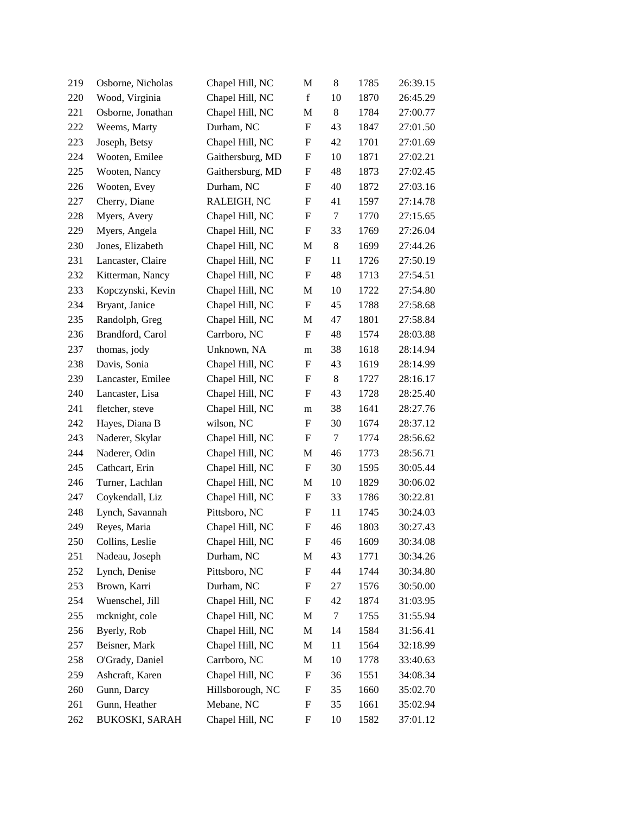| 219 | Osborne, Nicholas     | Chapel Hill, NC  | M                         | 8     | 1785 | 26:39.15 |
|-----|-----------------------|------------------|---------------------------|-------|------|----------|
| 220 | Wood, Virginia        | Chapel Hill, NC  | $\mathbf f$               | 10    | 1870 | 26:45.29 |
| 221 | Osborne, Jonathan     | Chapel Hill, NC  | M                         | 8     | 1784 | 27:00.77 |
| 222 | Weems, Marty          | Durham, NC       | $\boldsymbol{\mathrm{F}}$ | 43    | 1847 | 27:01.50 |
| 223 | Joseph, Betsy         | Chapel Hill, NC  | F                         | 42    | 1701 | 27:01.69 |
| 224 | Wooten, Emilee        | Gaithersburg, MD | $\boldsymbol{\mathrm{F}}$ | 10    | 1871 | 27:02.21 |
| 225 | Wooten, Nancy         | Gaithersburg, MD | F                         | 48    | 1873 | 27:02.45 |
| 226 | Wooten, Evey          | Durham, NC       | F                         | 40    | 1872 | 27:03.16 |
| 227 | Cherry, Diane         | RALEIGH, NC      | F                         | 41    | 1597 | 27:14.78 |
| 228 | Myers, Avery          | Chapel Hill, NC  | $\boldsymbol{\mathrm{F}}$ | 7     | 1770 | 27:15.65 |
| 229 | Myers, Angela         | Chapel Hill, NC  | $\boldsymbol{\mathrm{F}}$ | 33    | 1769 | 27:26.04 |
| 230 | Jones, Elizabeth      | Chapel Hill, NC  | M                         | 8     | 1699 | 27:44.26 |
| 231 | Lancaster, Claire     | Chapel Hill, NC  | $\boldsymbol{\mathrm{F}}$ | 11    | 1726 | 27:50.19 |
| 232 | Kitterman, Nancy      | Chapel Hill, NC  | F                         | 48    | 1713 | 27:54.51 |
| 233 | Kopczynski, Kevin     | Chapel Hill, NC  | M                         | 10    | 1722 | 27:54.80 |
| 234 | Bryant, Janice        | Chapel Hill, NC  | $\boldsymbol{\mathrm{F}}$ | 45    | 1788 | 27:58.68 |
| 235 | Randolph, Greg        | Chapel Hill, NC  | M                         | 47    | 1801 | 27:58.84 |
| 236 | Brandford, Carol      | Carrboro, NC     | $\boldsymbol{\mathrm{F}}$ | 48    | 1574 | 28:03.88 |
| 237 | thomas, jody          | Unknown, NA      | m                         | 38    | 1618 | 28:14.94 |
| 238 | Davis, Sonia          | Chapel Hill, NC  | F                         | 43    | 1619 | 28:14.99 |
| 239 | Lancaster, Emilee     | Chapel Hill, NC  | F                         | $8\,$ | 1727 | 28:16.17 |
| 240 | Lancaster, Lisa       | Chapel Hill, NC  | $\boldsymbol{\mathrm{F}}$ | 43    | 1728 | 28:25.40 |
| 241 | fletcher, steve       | Chapel Hill, NC  | m                         | 38    | 1641 | 28:27.76 |
| 242 | Hayes, Diana B        | wilson, NC       | F                         | 30    | 1674 | 28:37.12 |
| 243 | Naderer, Skylar       | Chapel Hill, NC  | F                         | 7     | 1774 | 28:56.62 |
| 244 | Naderer, Odin         | Chapel Hill, NC  | M                         | 46    | 1773 | 28:56.71 |
| 245 | Cathcart, Erin        | Chapel Hill, NC  | $\boldsymbol{\mathrm{F}}$ | 30    | 1595 | 30:05.44 |
| 246 | Turner, Lachlan       | Chapel Hill, NC  | M                         | 10    | 1829 | 30:06.02 |
| 247 | Coykendall, Liz       | Chapel Hill, NC  | F                         | 33    | 1786 | 30:22.81 |
| 248 | Lynch, Savannah       | Pittsboro, NC    | F                         | 11    | 1745 | 30:24.03 |
| 249 | Reyes, Maria          | Chapel Hill, NC  | $\boldsymbol{\mathrm{F}}$ | 46    | 1803 | 30:27.43 |
| 250 | Collins, Leslie       | Chapel Hill, NC  | F                         | 46    | 1609 | 30:34.08 |
| 251 | Nadeau, Joseph        | Durham, NC       | M                         | 43    | 1771 | 30:34.26 |
| 252 | Lynch, Denise         | Pittsboro, NC    | F                         | 44    | 1744 | 30:34.80 |
| 253 | Brown, Karri          | Durham, NC       | F                         | 27    | 1576 | 30:50.00 |
| 254 | Wuenschel, Jill       | Chapel Hill, NC  | F                         | 42    | 1874 | 31:03.95 |
| 255 | mcknight, cole        | Chapel Hill, NC  | M                         | 7     | 1755 | 31:55.94 |
| 256 | Byerly, Rob           | Chapel Hill, NC  | M                         | 14    | 1584 | 31:56.41 |
| 257 | Beisner, Mark         | Chapel Hill, NC  | M                         | 11    | 1564 | 32:18.99 |
| 258 | O'Grady, Daniel       | Carrboro, NC     | M                         | 10    | 1778 | 33:40.63 |
| 259 | Ashcraft, Karen       | Chapel Hill, NC  | F                         | 36    | 1551 | 34:08.34 |
| 260 | Gunn, Darcy           | Hillsborough, NC | F                         | 35    | 1660 | 35:02.70 |
| 261 | Gunn, Heather         | Mebane, NC       | F                         | 35    | 1661 | 35:02.94 |
| 262 | <b>BUKOSKI, SARAH</b> | Chapel Hill, NC  | F                         | 10    | 1582 | 37:01.12 |